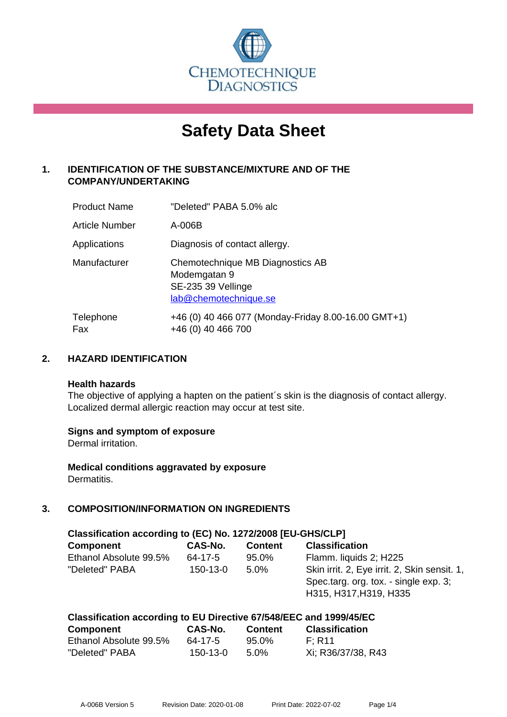

# **Safety Data Sheet**

# **1. IDENTIFICATION OF THE SUBSTANCE/MIXTURE AND OF THE COMPANY/UNDERTAKING**

| <b>Product Name</b> | "Deleted" PABA 5.0% alc                                                                         |
|---------------------|-------------------------------------------------------------------------------------------------|
| Article Number      | A-006B                                                                                          |
| Applications        | Diagnosis of contact allergy.                                                                   |
| Manufacturer        | Chemotechnique MB Diagnostics AB<br>Modemgatan 9<br>SE-235 39 Vellinge<br>lab@chemotechnique.se |
| Telephone<br>Fax    | +46 (0) 40 466 077 (Monday-Friday 8.00-16.00 GMT+1)<br>+46 (0) 40 466 700                       |

## **2. HAZARD IDENTIFICATION**

#### **Health hazards**

The objective of applying a hapten on the patient's skin is the diagnosis of contact allergy. Localized dermal allergic reaction may occur at test site.

#### **Signs and symptom of exposure**

Dermal irritation.

**Medical conditions aggravated by exposure** Dermatitis.

# **3. COMPOSITION/INFORMATION ON INGREDIENTS**

| Classification according to (EC) No. 1272/2008 [EU-GHS/CLP] |                |                |                                                                                                                 |  |
|-------------------------------------------------------------|----------------|----------------|-----------------------------------------------------------------------------------------------------------------|--|
| <b>Component</b>                                            | CAS-No.        | <b>Content</b> | <b>Classification</b>                                                                                           |  |
| Ethanol Absolute 99.5%                                      | 64-17-5        | 95.0%          | Flamm. liquids 2; H225                                                                                          |  |
| "Deleted" PABA                                              | $150 - 13 - 0$ | $5.0\%$        | Skin irrit. 2, Eye irrit. 2, Skin sensit. 1,<br>Spec.targ. org. tox. - single exp. 3;<br>H315, H317, H319, H335 |  |

#### **Classification according to EU Directive 67/548/EEC and 1999/45/EC**

| <b>Component</b>       | <b>CAS-No.</b> | <b>Content</b> | <b>Classification</b> |
|------------------------|----------------|----------------|-----------------------|
| Ethanol Absolute 99.5% | 64-17-5        | 95.0%          | F: R11                |
| "Deleted" PABA         | 150-13-0       | $5.0\%$        | Xi: R36/37/38, R43    |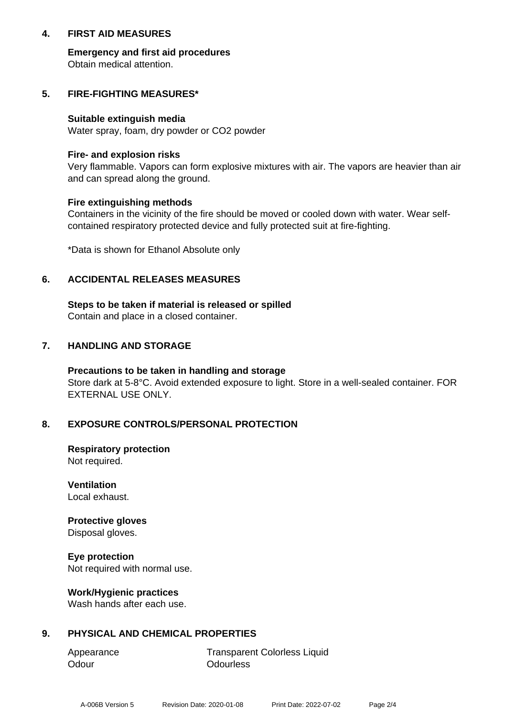## **4. FIRST AID MEASURES**

**Emergency and first aid procedures** Obtain medical attention.

## **5. FIRE-FIGHTING MEASURES\***

#### **Suitable extinguish media**

Water spray, foam, dry powder or CO2 powder

#### **Fire- and explosion risks**

Very flammable. Vapors can form explosive mixtures with air. The vapors are heavier than air and can spread along the ground.

#### **Fire extinguishing methods**

Containers in the vicinity of the fire should be moved or cooled down with water. Wear selfcontained respiratory protected device and fully protected suit at fire-fighting.

\*Data is shown for Ethanol Absolute only

## **6. ACCIDENTAL RELEASES MEASURES**

**Steps to be taken if material is released or spilled** Contain and place in a closed container.

## **7. HANDLING AND STORAGE**

**Precautions to be taken in handling and storage** Store dark at 5-8°C. Avoid extended exposure to light. Store in a well-sealed container. FOR EXTERNAL USE ONLY.

#### **8. EXPOSURE CONTROLS/PERSONAL PROTECTION**

**Respiratory protection** Not required.

**Ventilation** Local exhaust.

**Protective gloves** Disposal gloves.

**Eye protection** Not required with normal use.

#### **Work/Hygienic practices**

Wash hands after each use.

# **9. PHYSICAL AND CHEMICAL PROPERTIES**

Odour **Odourless** 

Appearance Transparent Colorless Liquid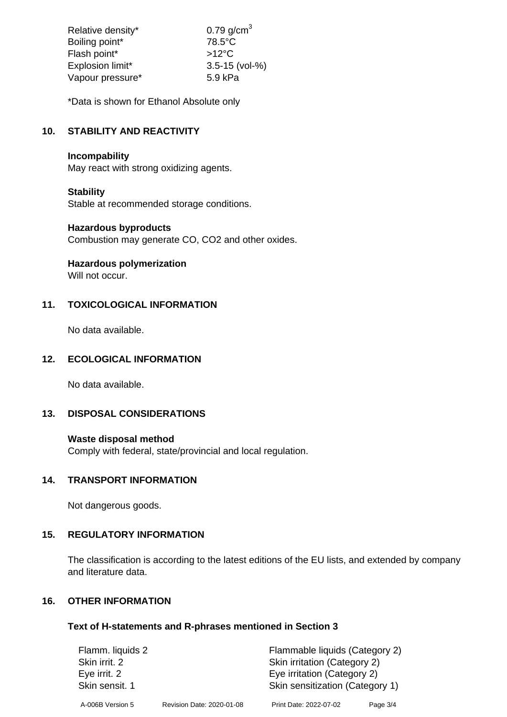| Relative density* | $0.79$ g/cm <sup>3</sup> |
|-------------------|--------------------------|
| Boiling point*    | $78.5^{\circ}$ C         |
| Flash point*      | $>12^{\circ}$ C          |
| Explosion limit*  | $3.5 - 15$ (vol-%)       |
| Vapour pressure*  | 5.9 kPa                  |

\*Data is shown for Ethanol Absolute only

# **10. STABILITY AND REACTIVITY**

## **Incompability**

May react with strong oxidizing agents.

## **Stability**

Stable at recommended storage conditions.

#### **Hazardous byproducts**

Combustion may generate CO, CO2 and other oxides.

**Hazardous polymerization**

Will not occur.

# **11. TOXICOLOGICAL INFORMATION**

No data available.

# **12. ECOLOGICAL INFORMATION**

No data available.

#### **13. DISPOSAL CONSIDERATIONS**

#### **Waste disposal method**

Comply with federal, state/provincial and local regulation.

## **14. TRANSPORT INFORMATION**

Not dangerous goods.

# **15. REGULATORY INFORMATION**

The classification is according to the latest editions of the EU lists, and extended by company and literature data.

# **16. OTHER INFORMATION**

#### **Text of H-statements and R-phrases mentioned in Section 3**

| Flamm. liquids 2 |                           | Flammable liquids (Category 2)  |          |
|------------------|---------------------------|---------------------------------|----------|
| Skin irrit. 2    |                           | Skin irritation (Category 2)    |          |
| Eye irrit. 2     |                           | Eye irritation (Category 2)     |          |
| Skin sensit. 1   |                           | Skin sensitization (Category 1) |          |
| A-006B Version 5 | Revision Date: 2020-01-08 | Print Date: 2022-07-02          | Page 3/4 |